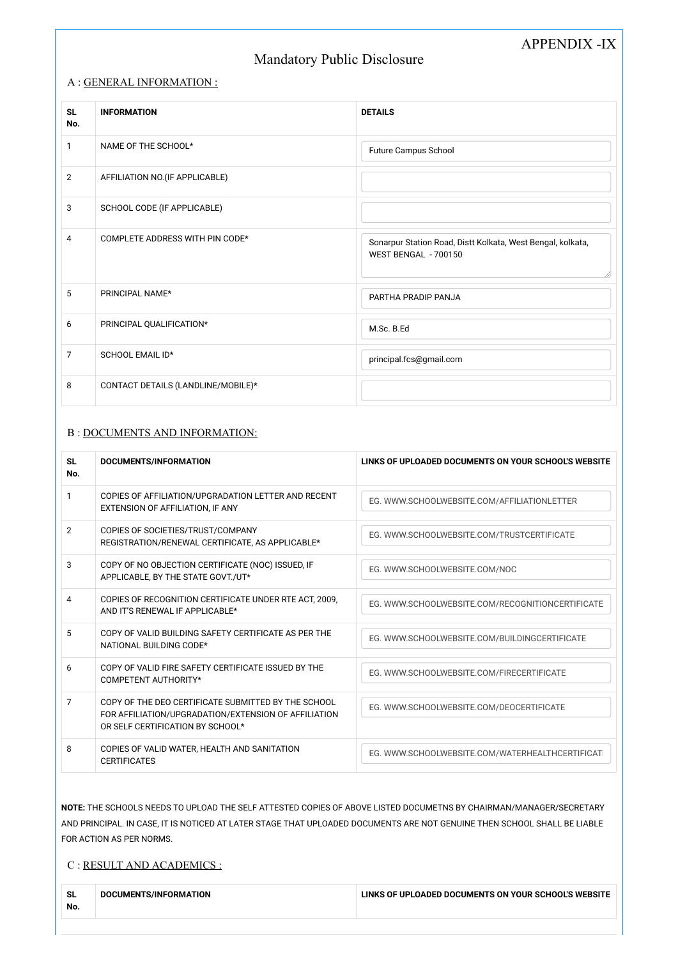# APPENDIX -IX

# Mandatory Public Disclosure

#### A : GENERAL INFORMATION :

| <b>SL</b><br>No. | <b>INFORMATION</b>                 | <b>DETAILS</b>                                                                      |
|------------------|------------------------------------|-------------------------------------------------------------------------------------|
| $\mathbf{1}$     | NAME OF THE SCHOOL*                | <b>Future Campus School</b>                                                         |
| $\overline{2}$   | AFFILIATION NO.(IF APPLICABLE)     |                                                                                     |
| 3                | SCHOOL CODE (IF APPLICABLE)        |                                                                                     |
| 4                | COMPLETE ADDRESS WITH PIN CODE*    | Sonarpur Station Road, Distt Kolkata, West Bengal, kolkata,<br>WEST BENGAL - 700150 |
| 5                | PRINCIPAL NAME*                    | PARTHA PRADIP PANJA                                                                 |
| 6                | PRINCIPAL QUALIFICATION*           | M.Sc. B.Ed                                                                          |
| $\overline{7}$   | SCHOOL EMAIL ID*                   | principal.fcs@gmail.com                                                             |
| 8                | CONTACT DETAILS (LANDLINE/MOBILE)* |                                                                                     |

### B : DOCUMENTS AND INFORMATION:

| <b>SL</b><br>No. | DOCUMENTS/INFORMATION                                                                                                                           | LINKS OF UPLOADED DOCUMENTS ON YOUR SCHOOL'S WEBSITE |
|------------------|-------------------------------------------------------------------------------------------------------------------------------------------------|------------------------------------------------------|
| 1                | COPIES OF AFFILIATION/UPGRADATION LETTER AND RECENT<br>EXTENSION OF AFFILIATION, IF ANY                                                         | EG. WWW.SCHOOLWEBSITE.COM/AFFILIATIONLETTER          |
| $\overline{2}$   | COPIES OF SOCIETIES/TRUST/COMPANY<br>REGISTRATION/RENEWAL CERTIFICATE, AS APPLICABLE*                                                           | EG. WWW.SCHOOLWEBSITE.COM/TRUSTCERTIFICATE           |
| 3                | COPY OF NO OBJECTION CERTIFICATE (NOC) ISSUED, IF<br>APPLICABLE, BY THE STATE GOVT./UT*                                                         | EG. WWW.SCHOOLWEBSITE.COM/NOC                        |
| 4                | COPIES OF RECOGNITION CERTIFICATE UNDER RTE ACT, 2009,<br>AND IT'S RENEWAL IF APPLICABLE*                                                       | EG. WWW.SCHOOLWEBSITE.COM/RECOGNITIONCERTIFICATE     |
| 5                | COPY OF VALID BUILDING SAFETY CERTIFICATE AS PER THE<br>NATIONAL BUILDING CODE*                                                                 | EG. WWW.SCHOOLWEBSITE.COM/BUILDINGCERTIFICATE        |
| 6                | COPY OF VALID FIRE SAFETY CERTIFICATE ISSUED BY THE<br>COMPETENT AUTHORITY*                                                                     | EG. WWW.SCHOOLWEBSITE.COM/FIRECERTIFICATE            |
| 7                | COPY OF THE DEO CERTIFICATE SUBMITTED BY THE SCHOOL<br>FOR AFFILIATION/UPGRADATION/EXTENSION OF AFFILIATION<br>OR SELF CERTIFICATION BY SCHOOL* | EG. WWW.SCHOOLWEBSITE.COM/DEOCERTIFICATE             |
| 8                | COPIES OF VALID WATER, HEALTH AND SANITATION<br><b>CERTIFICATES</b>                                                                             | EG. WWW.SCHOOLWEBSITE.COM/WATERHEALTHCERTIFICATI     |

**NOTE:** THE SCHOOLS NEEDS TO UPLOAD THE SELF ATTESTED COPIES OF ABOVE LISTED DOCUMETNS BY CHAIRMAN/MANAGER/SECRETARY AND PRINCIPAL. IN CASE, IT IS NOTICED AT LATER STAGE THAT UPLOADED DOCUMENTS ARE NOT GENUINE THEN SCHOOL SHALL BE LIABLE FOR ACTION AS PER NORMS.

### C : RESULT AND ACADEMICS :

| <b>SL</b><br>No. | DOCUMENTS/INFORMATION | LINKS OF UPLOADED DOCUMENTS ON YOUR SCHOOL'S WEBSITE |
|------------------|-----------------------|------------------------------------------------------|
|                  |                       |                                                      |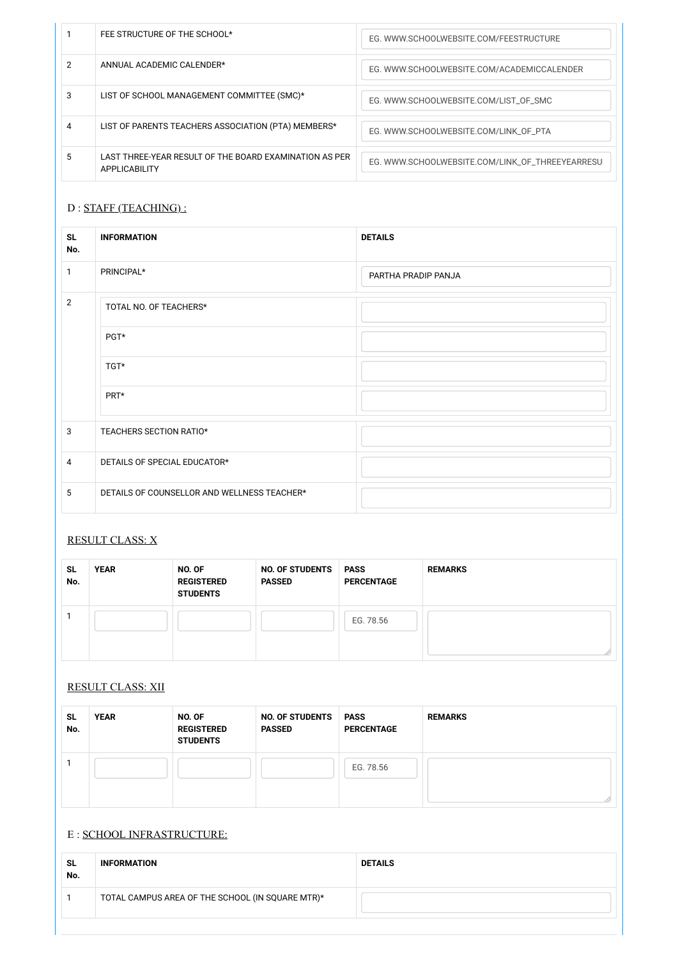|   | FEE STRUCTURE OF THE SCHOOL*                                                   | EG. WWW.SCHOOLWEBSITE.COM/FEESTRUCTURE           |
|---|--------------------------------------------------------------------------------|--------------------------------------------------|
|   | ANNUAL ACADEMIC CALENDER*                                                      | EG. WWW.SCHOOLWEBSITE.COM/ACADEMICCALENDER       |
| 3 | LIST OF SCHOOL MANAGEMENT COMMITTEE (SMC)*                                     | EG. WWW.SCHOOLWEBSITE.COM/LIST_OF_SMC            |
| 4 | LIST OF PARENTS TEACHERS ASSOCIATION (PTA) MEMBERS*                            | EG. WWW.SCHOOLWEBSITE.COM/LINK_OF_PTA            |
| 5 | LAST THREE-YEAR RESULT OF THE BOARD EXAMINATION AS PER<br><b>APPLICABILITY</b> | EG. WWW.SCHOOLWEBSITE.COM/LINK_OF_THREEYEARRESUI |

## D : STAFF (TEACHING) :

| <b>SL</b><br>No. | <b>INFORMATION</b>                          | <b>DETAILS</b>      |
|------------------|---------------------------------------------|---------------------|
| 1                | PRINCIPAL*                                  | PARTHA PRADIP PANJA |
| $\overline{2}$   | TOTAL NO. OF TEACHERS*                      |                     |
|                  | PGT*                                        |                     |
|                  | TGT*                                        |                     |
|                  | PRT*                                        |                     |
| $\mathbf{3}$     | TEACHERS SECTION RATIO*                     |                     |
| $\overline{4}$   | DETAILS OF SPECIAL EDUCATOR*                |                     |
| 5                | DETAILS OF COUNSELLOR AND WELLNESS TEACHER* |                     |

## RESULT CLASS: X

| <b>SL</b><br>No. | <b>YEAR</b> | NO. OF<br><b>REGISTERED</b><br><b>STUDENTS</b> | <b>NO. OF STUDENTS</b><br><b>PASSED</b> | <b>PASS</b><br><b>PERCENTAGE</b> | <b>REMARKS</b> |
|------------------|-------------|------------------------------------------------|-----------------------------------------|----------------------------------|----------------|
|                  |             |                                                |                                         | EG. 78.56                        |                |

### RESULT CLASS: XII

| <b>SL</b><br>No. | <b>YEAR</b> | NO. OF<br><b>REGISTERED</b><br><b>STUDENTS</b> | <b>NO. OF STUDENTS</b><br><b>PASSED</b> | <b>PASS</b><br><b>PERCENTAGE</b> | <b>REMARKS</b> |
|------------------|-------------|------------------------------------------------|-----------------------------------------|----------------------------------|----------------|
|                  |             |                                                |                                         | EG. 78.56                        | $\sqrt{2}$     |

## E : SCHOOL INFRASTRUCTURE:

| <b>SL</b><br>No. | <b>INFORMATION</b>                               | <b>DETAILS</b> |
|------------------|--------------------------------------------------|----------------|
|                  | TOTAL CAMPUS AREA OF THE SCHOOL (IN SQUARE MTR)* |                |
|                  |                                                  |                |